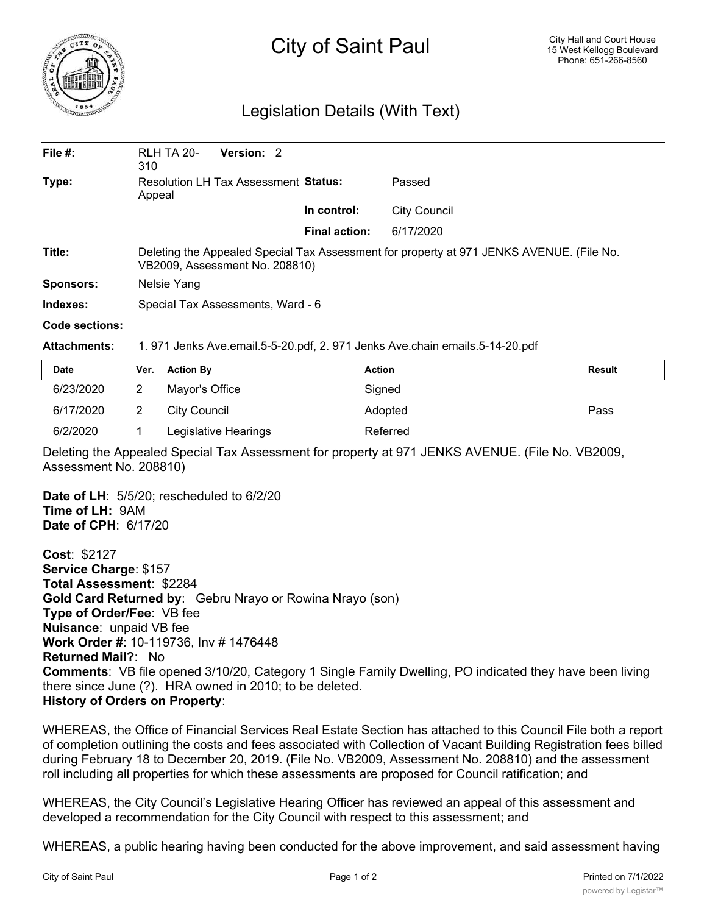

## City of Saint Paul

## Legislation Details (With Text)

| File $#$ :       | <b>RLH TA 20-</b><br>310                                                                                                   | Version: 2 |               |                     |  |  |
|------------------|----------------------------------------------------------------------------------------------------------------------------|------------|---------------|---------------------|--|--|
| Type:            | Resolution LH Tax Assessment Status:<br>Appeal                                                                             |            |               | Passed              |  |  |
|                  |                                                                                                                            |            | In control:   | <b>City Council</b> |  |  |
|                  |                                                                                                                            |            | Final action: | 6/17/2020           |  |  |
| Title:           | Deleting the Appealed Special Tax Assessment for property at 971 JENKS AVENUE. (File No.<br>VB2009, Assessment No. 208810) |            |               |                     |  |  |
| <b>Sponsors:</b> | Nelsie Yang                                                                                                                |            |               |                     |  |  |
| Indexes:         | Special Tax Assessments, Ward - 6                                                                                          |            |               |                     |  |  |
| Code sections:   |                                                                                                                            |            |               |                     |  |  |

**Attachments:** 1. 971 Jenks Ave.email.5-5-20.pdf, 2. 971 Jenks Ave.chain emails.5-14-20.pdf

| <b>Date</b> | Ver. | <b>Action By</b>     | <b>Action</b> | <b>Result</b> |
|-------------|------|----------------------|---------------|---------------|
| 6/23/2020   |      | Mayor's Office       | Signed        |               |
| 6/17/2020   |      | City Council         | Adopted       | Pass          |
| 6/2/2020    |      | Legislative Hearings | Referred      |               |

Deleting the Appealed Special Tax Assessment for property at 971 JENKS AVENUE. (File No. VB2009, Assessment No. 208810)

**Date of LH**: 5/5/20; rescheduled to 6/2/20 **Time of LH:** 9AM **Date of CPH**: 6/17/20

**Cost**: \$2127 **Service Charge**: \$157 **Total Assessment**: \$2284 **Gold Card Returned by**: Gebru Nrayo or Rowina Nrayo (son) **Type of Order/Fee**: VB fee **Nuisance**: unpaid VB fee **Work Order #**: 10-119736, Inv # 1476448 **Returned Mail?**: No **Comments**: VB file opened 3/10/20, Category 1 Single Family Dwelling, PO indicated they have been living there since June (?). HRA owned in 2010; to be deleted. **History of Orders on Property**:

WHEREAS, the Office of Financial Services Real Estate Section has attached to this Council File both a report of completion outlining the costs and fees associated with Collection of Vacant Building Registration fees billed during February 18 to December 20, 2019. (File No. VB2009, Assessment No. 208810) and the assessment roll including all properties for which these assessments are proposed for Council ratification; and

WHEREAS, the City Council's Legislative Hearing Officer has reviewed an appeal of this assessment and developed a recommendation for the City Council with respect to this assessment; and

WHEREAS, a public hearing having been conducted for the above improvement, and said assessment having